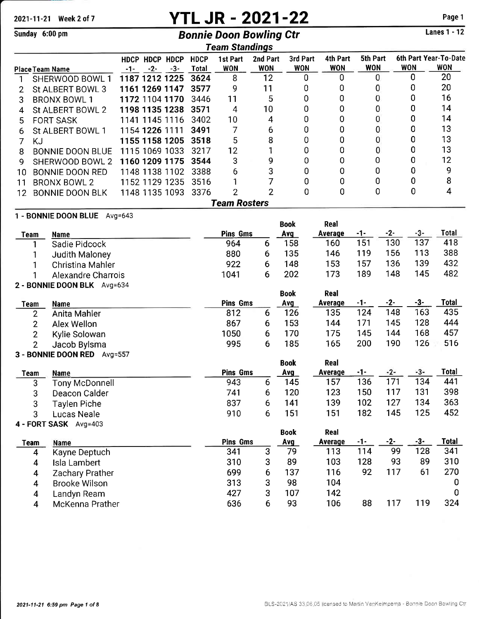# 2021-11-21 Week 2 of 7 **YTL JR - 2021-22** Page 1<br>
Regraded 6:00 nm<br>
Regraded Boose Powling Ctr

# Sunday 6:00 pm Bonnie Doon Bowling Ctr

|    | Team Standings              |                                |       |                      |                        |                        |                        |                        |                        |            |                                     |
|----|-----------------------------|--------------------------------|-------|----------------------|------------------------|------------------------|------------------------|------------------------|------------------------|------------|-------------------------------------|
|    | <b>Place Team Name</b>      | HDCP HDCP HDCP<br>$-2-$<br>-1- | $-3-$ | <b>HDCP</b><br>Total | 1st Part<br><b>WON</b> | 2nd Part<br><b>WON</b> | 3rd Part<br><b>WON</b> | 4th Part<br><b>WON</b> | 5th Part<br><b>WON</b> | <b>WON</b> | 6th Part Year-To-Date<br><b>WON</b> |
|    | SHERWOOD BOWL 1             | 1187 1212 1225                 |       | 3624                 | 8                      | 12                     | n                      |                        | 0                      | n          | 20                                  |
|    | St ALBERT BOWL 3            | 1161 1269 1147                 |       | 3577                 | 9                      | 11                     | 0                      | 0                      | 0                      |            | 20                                  |
| 3  | <b>BRONX BOWL 1</b>         | 1172 1104 1170                 |       | 3446                 | 11                     | 5                      | 0                      | 0                      | 0                      | O          | 16                                  |
| 4  | St ALBERT BOWL 2            | 1198 1135 1238                 |       | 3571                 | 4                      | 10                     | 0                      | 0                      | 0                      | 0          | 14                                  |
| 5  | <b>FORT SASK</b>            | 1141 1145 1116                 |       | 3402                 | 10                     | 4                      | 0                      | 0                      | 0                      | O          | 14                                  |
| 6  | St ALBERT BOWL 1            | 1154 1226 1111                 |       | 3491                 | 7                      | 6                      | 0                      | 0                      | 0                      | 0          | 13                                  |
|    | KJ                          | 1155 1158 1205                 |       | 3518                 | 5                      | 8                      | 0                      | 0                      | 0                      | 0          | 13                                  |
| 8  | <b>BONNIE DOON BLUE</b>     | 1115 1069 1033                 |       | 3217                 | 12                     |                        | 0                      | 0                      | 0                      | 0          | 13                                  |
| 9  | SHERWOOD BOWL 2             | 1160 1209 1175                 |       | 3544                 | 3                      | 9                      | 0                      | 0                      | 0                      | 0          | 12                                  |
| 10 | <b>BONNIE DOON RED</b>      | 1148 1138 1102                 |       | 3388                 | 6                      | 3                      | 0                      | 0                      | 0                      | 0          | 9                                   |
| 11 | <b>BRONX BOWL 2</b>         | 1152 1129 1235                 |       | 3516                 |                        |                        | 0                      | 0                      | 0                      | 0          | 8                                   |
| 12 | <b>BONNIE DOON BLK</b>      | 1148 1135 1093                 |       | 3376                 | $\overline{2}$         | $\overline{2}$         | 0                      | 0                      | 0                      | 0          | 4                                   |
|    |                             |                                |       |                      | <b>Team Rosters</b>    |                        |                        |                        |                        |            |                                     |
|    | 1 - BONNIE DOON BLUE        | Avg= $643$                     |       |                      |                        |                        |                        |                        |                        |            |                                     |
|    |                             |                                |       |                      |                        |                        | <b>Book</b>            | Real                   |                        |            |                                     |
|    | Team<br><b>Name</b>         |                                |       |                      | <b>Pins Gms</b>        |                        | Avg                    | Average                | -1-                    | -3-<br>-2- | Total                               |
|    | Sadie Pidcock               |                                |       |                      | 964                    | 6                      | 158                    | 160                    | 151                    | 137<br>130 | 418                                 |
|    | <b>Judith Maloney</b>       |                                |       |                      | 880                    | 6                      | 135                    | 146                    | 119                    | 113<br>156 | 388                                 |
|    | Christina Mahler            |                                |       |                      | 922                    | 6                      | 148                    | 153                    | 157                    | 139<br>136 | 432                                 |
|    | <b>Alexandre Charrois</b>   |                                |       |                      | 1041                   | 6                      | 202                    | 173                    | 189                    | 145<br>148 | 482                                 |
|    | 2 - BONNIE DOON BLK Avg=634 |                                |       |                      |                        |                        |                        |                        |                        |            |                                     |

|      |               |                 |   | <b>Book</b> | Real    |     |     |     |       |
|------|---------------|-----------------|---|-------------|---------|-----|-----|-----|-------|
| Team | Name          | <b>Pins Gms</b> |   | Avg         | Average | -1- | -2- | -3- | Total |
|      | Anita Mahler  | 812             |   | 126         | 135     | 124 | 148 | 163 | 435   |
|      | Alex Wellon   | 867             |   | 153         | 144     |     | 145 | 128 | 444   |
|      | Kylie Solowan | 1050            | b | 170         | 175     | 145 | 144 | 168 | 457   |
|      | Jacob Bylsma  | 995             | b | 185         | 165     | 200 | 190 | 126 | 516   |

### 3 - BONNIE DOON RED Avg=557

| Team | <b>Name</b>           | <b>Pins Gms</b> |   | <b>Book</b><br><b>Avg</b> | Real<br>Average | -1- | $-2-$ | -3- | <b>Total</b> |
|------|-----------------------|-----------------|---|---------------------------|-----------------|-----|-------|-----|--------------|
| 3    | Tony McDonnell        | 943             | 6 | 145                       | 157             | 136 | 171   | 134 | 441          |
| 3    | Deacon Calder         | 741             | 6 | 120                       | 123             | 150 | 117   | 131 | 398          |
| 3    | <b>Taylen Piche</b>   | 837             | 6 | 141                       | 139             | 102 | 127   | 134 | 363          |
| 3    | Lucas Neale           | 910             | 6 | 151                       | 151             | 182 | 145   | 125 | 452          |
|      | 4 - FORT SASK Avg=403 |                 |   |                           |                 |     |       |     |              |
|      |                       |                 |   | <b>Book</b>               | Real            |     |       |     |              |
| Team | Name                  | <b>Pins Gms</b> |   | <b>Avg</b>                | Average         | -1- | -2-   | -3- | <b>Total</b> |
| 4    | Kayne Deptuch         | 341             | 3 | 79                        | 113             | 114 | 99    | 128 | 341          |
| 4    | Isla Lambert          | 310             | 3 | 89                        | 103             | 128 | 93    | 89  | 310          |
| 4    | Zachary Prather       | 699             | 6 | 137                       | 116             | 92  | 117   | 61  | 270          |
| 4    | <b>Brooke Wilson</b>  | 313             | 3 | 98                        | 104             |     |       |     | 0            |
| 4    | andvn Ream.           | 427             | 3 | 107                       | 142             |     |       |     | $\mathbf 0$  |

427 3<br>636 6

Landyn Ream McKenna Prather

   

<sup>88</sup>

117 119 <sup>324</sup>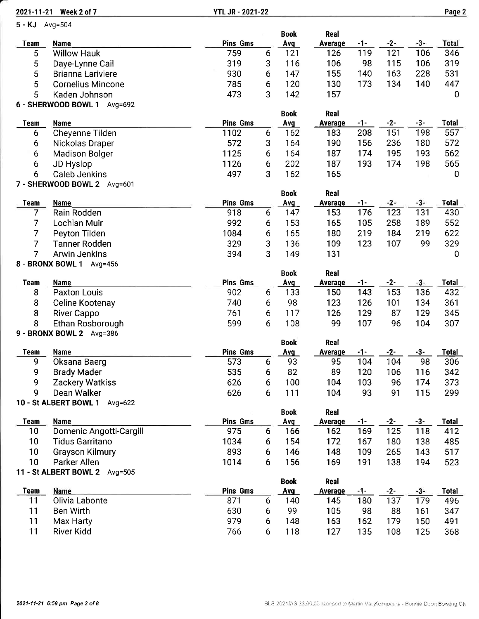|                 | 2021-11-21 Week 2 of 7              | <b>YTL JR - 2021-22</b> |   |             |                |             |              |       | Page 2       |
|-----------------|-------------------------------------|-------------------------|---|-------------|----------------|-------------|--------------|-------|--------------|
| 5 - KJ Avg=504  |                                     |                         |   |             |                |             |              |       |              |
|                 |                                     |                         |   | <b>Book</b> | Real           |             |              |       |              |
| <b>Team</b>     | <b>Name</b>                         | <b>Pins Gms</b>         |   | <b>Avg</b>  | Average        | <u> -1-</u> | $-2-$        | $-3-$ | Total        |
| 5               | <b>Willow Hauk</b>                  | 759                     | 6 | 121         | 126            | 119         | 121          | 106   | 346          |
| 5               | Daye-Lynne Cail                     | 319                     | 3 | 116         | 106            | 98          | 115          | 106   | 319          |
| 5               | <b>Brianna Lariviere</b>            | 930                     | 6 | 147         | 155            | 140         | 163          | 228   | 531          |
| 5               | <b>Cornelius Mincone</b>            | 785                     | 6 | 120         | 130            | 173         | 134          | 140   | 447          |
| 5               | Kaden Johnson                       | 473                     | 3 | 142         | 157            |             |              |       | $\mathbf 0$  |
|                 | 6 - SHERWOOD BOWL 1 Avg=692         |                         |   | <b>Book</b> | Real           |             |              |       |              |
| <b>Team</b>     | Name                                | <b>Pins Gms</b>         |   | Avg         | <b>Average</b> | <u>-1-</u>  | $-2-$        | $-3-$ | <b>Total</b> |
| 6               | Cheyenne Tilden                     | 1102                    | 6 | 162         | 183            | 208         | 151          | 198   | 557          |
| 6               | Nickolas Draper                     | 572                     | 3 | 164         | 190            | 156         | 236          | 180   | 572          |
| 6               | <b>Madison Bolger</b>               | 1125                    | 6 | 164         | 187            | 174         | 195          | 193   | 562          |
| 6               | JD Hyslop                           | 1126                    | 6 | 202         | 187            | 193         | 174          | 198   | 565          |
| 6               | <b>Caleb Jenkins</b>                | 497                     | 3 | 162         | 165            |             |              |       | 0            |
|                 | 7 - SHERWOOD BOWL 2 Avg=601         |                         |   |             |                |             |              |       |              |
|                 |                                     |                         |   | <b>Book</b> | Real           |             |              |       |              |
| <b>Team</b>     | <b>Name</b>                         | <b>Pins Gms</b>         |   | Avg         | <b>Average</b> | $-1-$       | $-2-$        | $-3-$ | <b>Total</b> |
| 7               | Rain Rodden                         | 918                     | 6 | 147         | 153            | 176         | 123          | 131   | 430          |
| $\overline{7}$  | Lochlan Muir                        | 992                     | 6 | 153         | 165            | 105         | 258          | 189   | 552          |
| 7               | Peyton Tilden                       | 1084                    | 6 | 165         | 180            | 219         | 184          | 219   | 622          |
| 7               | <b>Tanner Rodden</b>                | 329                     | 3 | 136         | 109            | 123         | 107          | 99    | 329          |
| 7               | <b>Arwin Jenkins</b>                | 394                     | 3 | 149         | 131            |             |              |       | 0            |
|                 | 8 - BRONX BOWL 1 Avg=456            |                         |   |             |                |             |              |       |              |
|                 |                                     |                         |   | <b>Book</b> | <b>Real</b>    |             |              |       |              |
| <b>Team</b>     | <b>Name</b>                         | Pins Gms                |   | Avg         | <b>Average</b> | -1-         | $-2-$        | -3-   | <b>Total</b> |
| 8               | <b>Paxton Louis</b>                 | 902                     | 6 | 133         | 150            | 143         | 153          | 136   | 432          |
| 8               | Celine Kootenay                     | 740                     | 6 | 98          | 123            | 126         | 101          | 134   | 361          |
| 8               | <b>River Cappo</b>                  | 761                     | 6 | 117         | 126            | 129         | 87           | 129   | 345          |
| 8               | Ethan Rosborough                    | 599                     | 6 | 108         | 99             | 107         | 96           | 104   | 307          |
|                 | 9 - BRONX BOWL 2 Avg=386            |                         |   |             |                |             |              |       |              |
|                 |                                     |                         |   | <b>Book</b> | Real           |             |              |       |              |
| Team            | <b>Name</b>                         | <b>Pins Gms</b>         |   | Avg         | <b>Average</b> | $-1-$       | $-2-$        | $-3-$ | <b>Total</b> |
| 9               | Oksana Baerg                        | 573                     | 6 | 93          | 95             | 104         | 104          | 98    | 306          |
| 9               | <b>Brady Mader</b>                  | 535                     | 6 | 82          | 89             | 120         | 106          | 116   | 342          |
| 9               | Zackery Watkiss                     | 626                     | 6 | 100         | 104            | 103         | 96           | 174   | 373          |
| 9               | Dean Walker                         | 626                     | 6 | 111         | 104            | 93          | 91           | 115   | 299          |
|                 | 10 - St ALBERT BOWL 1 Avg=622       |                         |   |             |                |             |              |       |              |
|                 |                                     |                         |   | <b>Book</b> | Real           |             |              |       |              |
| <b>Team</b>     | <b>Name</b>                         | Pins Gms<br>975         |   | Avg         | <b>Average</b> | $-1-$       | $-2-$<br>125 | $-3-$ | <b>Total</b> |
| 10 <sub>1</sub> | Domenic Angotti-Cargill             |                         | 6 | 166         | 162            | 169         |              | 118   | 412          |
| 10 <sub>1</sub> | <b>Tidus Garritano</b>              | 1034                    | 6 | 154         | 172            | 167         | 180          | 138   | 485          |
| 10              | <b>Grayson Kilmury</b>              | 893                     | 6 | 146         | 148            | 109         | 265          | 143   | 517          |
| 10              | Parker Allen                        | 1014                    | 6 | 156         | 169            | 191         | 138          | 194   | 523          |
|                 | 11 - St ALBERT BOWL 2<br>Avg= $505$ |                         |   | <b>Book</b> | Real           |             |              |       |              |
| <b>Team</b>     | Name                                | <b>Pins Gms</b>         |   | Avg         | <b>Average</b> | $-1-$       | $-2-$        | $-3-$ | <b>Total</b> |
| 11              | Olivia Labonte                      | 871                     | 6 | 140         | 145            | 180         | 137          | 179   | 496          |
| 11              | <b>Ben Wirth</b>                    | 630                     | 6 | 99          | 105            | 98          | 88           | 161   | 347          |
| 11              | Max Harty                           | 979                     | 6 | 148         | 163            | 162         | 179          | 150   | 491          |
|                 |                                     |                         |   |             |                |             |              |       |              |

River Kidd

<sup>135</sup>

<sup>125</sup>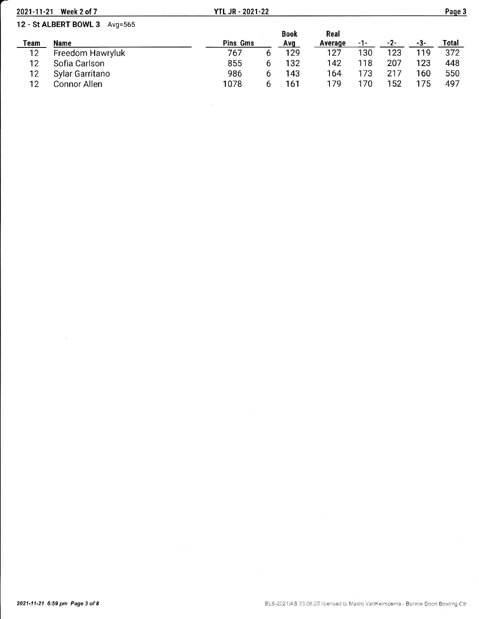| 2021-11-21 | Week 2 of 7                   | <b>YTL JR - 2021-22</b> |   |             |         |     |       |      | Page 3 |
|------------|-------------------------------|-------------------------|---|-------------|---------|-----|-------|------|--------|
|            | 12 - St ALBERT BOWL 3 Avg=565 |                         |   |             |         |     |       |      |        |
|            |                               |                         |   | <b>Book</b> | Real    |     |       |      |        |
| Team       | <b>Name</b>                   | Pins Gms                |   | <b>Avg</b>  | Average | -1- | $-2-$ | -3-  | Total  |
| 12         | Freedom Hawryluk              | 767                     | 6 | 129         | 127     | 130 | 123   | 119. | 372    |
| 12         | Sofia Carlson                 | 855                     | h | 132         | 142     | 118 | 207   | 123  | 448    |
| 12         | Sylar Garritano               | 986                     | 6 | 143         | 164     | 173 | 217   | 160  | 550    |
| 12         | Connor Allen                  | 1078                    | ь | 161         | 179     | 170 | l 52  | 75   | 497    |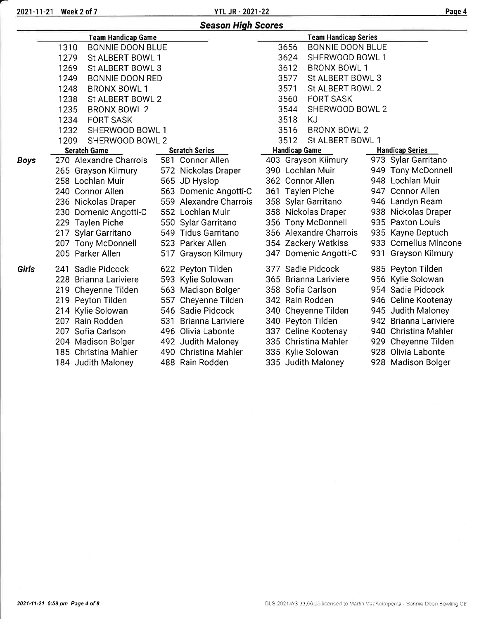2021-11-21 Week 2 of 7 YTL JR - 2021-22

|             |                                 | <b>Season High Scores</b> |                                 |                        |
|-------------|---------------------------------|---------------------------|---------------------------------|------------------------|
|             | <b>Team Handicap Game</b>       |                           | <b>Team Handicap Series</b>     |                        |
|             | 1310<br><b>BONNIE DOON BLUE</b> |                           | 3656<br><b>BONNIE DOON BLUE</b> |                        |
|             | 1279<br>St ALBERT BOWL 1        |                           | 3624<br>SHERWOOD BOWL 1         |                        |
|             | 1269<br>St ALBERT BOWL 3        |                           | 3612<br><b>BRONX BOWL 1</b>     |                        |
|             | 1249<br><b>BONNIE DOON RED</b>  |                           | 3577<br>St ALBERT BOWL 3        |                        |
|             | 1248<br><b>BRONX BOWL 1</b>     |                           | 3571<br>St ALBERT BOWL 2        |                        |
|             | 1238<br>St ALBERT BOWL 2        |                           | <b>FORT SASK</b><br>3560        |                        |
|             | 1235<br><b>BRONX BOWL 2</b>     |                           | 3544<br>SHERWOOD BOWL 2         |                        |
|             | 1234<br><b>FORT SASK</b>        |                           | 3518<br>KJ                      |                        |
|             | 1232<br>SHERWOOD BOWL 1         |                           | BRONX BOWL 2<br>3516            |                        |
|             | 1209<br>SHERWOOD BOWL 2         |                           | 3512<br>St ALBERT BOWL 1        |                        |
|             | <b>Scratch Game</b>             | <b>Scratch Series</b>     | <b>Handicap Game</b>            | <b>Handicap Series</b> |
| <b>Boys</b> | 270 Alexandre Charrois          | 581 Connor Allen          | 403 Grayson Kilmury             | 973 Sylar Garritano    |
|             | 265 Grayson Kilmury             | 572 Nickolas Draper       | 390 Lochlan Muir                | 949 Tony McDonnell     |
|             | 258 Lochlan Muir                | 565 JD Hyslop             | 362 Connor Allen                | 948 Lochlan Muir       |
|             | 240 Connor Allen                | 563 Domenic Angotti-C     | 361 Taylen Piche                | 947 Connor Allen       |
|             | 236 Nickolas Draper             | 559 Alexandre Charrois    | 358 Sylar Garritano             | 946 Landyn Ream        |
|             | 230 Domenic Angotti-C           | 552 Lochlan Muir          | 358 Nickolas Draper             | 938 Nickolas Draper    |
|             | 229 Taylen Piche                | 550 Sylar Garritano       | 356 Tony McDonnell              | 935 Paxton Louis       |
|             | 217 Sylar Garritano             | 549 Tidus Garritano       | 356 Alexandre Charrois          | 935 Kayne Deptuch      |
|             | 207 Tony McDonnell              | 523 Parker Allen          | 354 Zackery Watkiss             | 933 Cornelius Mincone  |
|             | 205 Parker Allen                | 517 Grayson Kilmury       | 347 Domenic Angotti-C           | 931 Grayson Kilmury    |
| Girls       | 241 Sadie Pidcock               | 622 Peyton Tilden         | 377 Sadie Pidcock               | 985 Peyton Tilden      |
|             | 228 Brianna Lariviere           | 593 Kylie Solowan         | 365 Brianna Lariviere           | 956 Kylie Solowan      |
|             | 219 Cheyenne Tilden             | 563 Madison Bolger        | 358 Sofia Carlson               | 954 Sadie Pidcock      |
|             | 219 Peyton Tilden               | 557 Cheyenne Tilden       | 342 Rain Rodden                 | 946 Celine Kootenay    |
|             | 214 Kylie Solowan               | 546 Sadie Pidcock         | 340 Cheyenne Tilden             | 945 Judith Maloney     |
|             | 207 Rain Rodden                 | 531 Brianna Lariviere     | 340 Peyton Tilden               | 942 Brianna Lariviere  |
|             | 207 Sofia Carlson               | 496 Olivia Labonte        | 337 Celine Kootenay             | 940 Christina Mahler   |
|             | 204 Madison Bolger              | 492 Judith Maloney        | 335 Christina Mahler            | 929 Cheyenne Tilden    |
|             | 185 Christina Mahler            | 490 Christina Mahler      | 335 Kylie Solowan               | 928 Olivia Labonte     |
|             | 184 Judith Maloney              | 488 Rain Rodden           | 335 Judith Maloney              | 928 Madison Bolger     |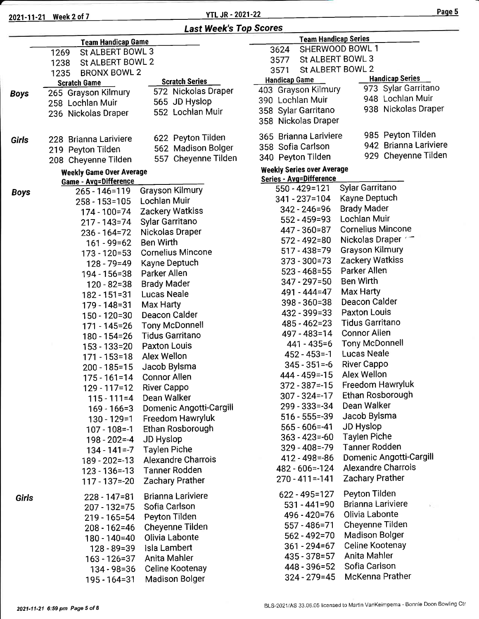2021-11-21 Week 2 of 7

### **YTL JR - 2021-22**

Page 5

|  | 3624                          |
|--|-------------------------------|
|  | 3577                          |
|  | <b>Last Week's Top Scores</b> |

|             | <b>Team Handicap Game</b>       |                           |                          |
|-------------|---------------------------------|---------------------------|--------------------------|
|             | St ALBERT BOWL 3<br>1269        |                           | 3624                     |
|             | St ALBERT BOWL 2<br>1238        |                           | 3577                     |
|             | <b>BRONX BOWL 2</b><br>1235     |                           | 357'                     |
|             | <b>Scratch Game</b>             | <b>Scratch Series</b>     | Handic                   |
| <b>Boys</b> | 265 Grayson Kilmury             | 572 Nickolas Draper       | 403 Gr                   |
|             | 258 Lochlan Muir                | 565 JD Hyslop             | 390 Lo                   |
|             | 236 Nickolas Draper             | 552 Lochlan Muir          | 358 Sy                   |
|             |                                 |                           | 358 Ni                   |
|             |                                 |                           |                          |
| Girls       | 228 Brianna Lariviere           | 622 Peyton Tilden         | 365 Br                   |
|             | 219 Peyton Tilden               | 562 Madison Bolger        | 358 Sc                   |
|             | 208 Cheyenne Tilden             | 557 Cheyenne Tilden       | 340 Pe                   |
|             | <b>Weekly Game Over Average</b> |                           | <b>Weekly</b>            |
|             | Game - Avg=Difference           |                           | Series -                 |
| <b>Boys</b> | $265 - 146 = 119$               | <b>Grayson Kilmury</b>    | 550                      |
|             | 258 - 153=105                   | <b>Lochlan Muir</b>       | 34 <sup>°</sup>          |
|             | 174 - 100=74                    | <b>Zackery Watkiss</b>    | 3 <sub>4</sub>           |
|             | 217 - 143=74                    | <b>Sylar Garritano</b>    | 5                        |
|             | 236 - 164 = 72                  | Nickolas Draper           | 4                        |
|             | $161 - 99 = 62$                 | <b>Ben Wirth</b>          | 5 <sup>2</sup>           |
|             | 173 - 120=53                    | <b>Cornelius Mincone</b>  | $5^{\circ}$              |
|             | $128 - 79 = 49$                 | Kayne Deptuch             | 3 <sup>1</sup>           |
|             | 194 - 156=38                    | Parker Allen              | 5 <sup>°</sup>           |
|             | $120 - 82 = 38$                 | <b>Brady Mader</b>        | 3.                       |
|             | 182 - 151=31                    | Lucas Neale               | $\overline{\mathbf{A}}$  |
|             | 179 - 148=31                    | Max Harty                 | 3                        |
|             | 150 - 120=30                    | Deacon Calder             | 4                        |
|             | $171 - 145 = 26$                | <b>Tony McDonnell</b>     | 4                        |
|             | 180 - 154=26                    | <b>Tidus Garritano</b>    | $\overline{\mathbf{4}}$  |
|             | 153 - 133=20                    | <b>Paxton Louis</b>       |                          |
|             | $171 - 153 = 18$                | Alex Wellon               | $\overline{\phantom{a}}$ |
|             | $200 - 185 = 15$                | Jacob Bylsma              | $\ddot{\cdot}$           |
|             | $175 - 161 = 14$                | <b>Connor Allen</b>       | $\overline{4}$           |
|             | $129 - 117 = 12$                | River Cappo               | 3 <sup>7</sup>           |
|             | $115 - 111 = 4$                 | Dean Walker               | 30                       |
|             | $169 - 166 = 3$                 | Domenic Angotti-Cargill   | 2 <sup>0</sup>           |
|             | $130 - 129 = 1$                 | Freedom Hawryluk          | 5 <sup>°</sup>           |
|             | $107 - 108 = -1$                | Ethan Rosborough          | 5 <sub>0</sub>           |
|             | $198 - 202 = -4$                | JD Hyslop                 | 3 <sub>0</sub>           |
|             | $134 - 141 = -7$                | <b>Taylen Piche</b>       | 3.                       |
|             |                                 | <b>Alexandre Charrois</b> | $\boldsymbol{4}$         |
|             | 189 - 202=-13                   | <b>Tanner Rodden</b>      | 48                       |
|             | $123 - 136 = -13$               |                           | 27                       |
|             | $117 - 137 = -20$               | <b>Zachary Prather</b>    |                          |
| Girls       | $228 - 147 = 81$                | <b>Brianna Lariviere</b>  | 62                       |
|             | 207 - 132=75                    | Sofia Carlson             | Ë                        |
|             | 219 - 165=54                    | Peyton Tilden             | $\overline{\phantom{a}}$ |
|             | 208 - 162=46                    | Cheyenne Tilden           | ξ                        |
|             | 180 - 140=40                    | Olivia Labonte            | ţ                        |
|             | $128 - 89 = 39$                 | Isla Lambert              | ŝ                        |
|             | 163 - 126=37                    | Anita Mahler              | $\overline{\phantom{a}}$ |
|             | 134 - 98 = 36                   | Celine Kootenay           | $\overline{\phantom{a}}$ |
|             | 195 - 164=31                    | <b>Madison Bolger</b>     |                          |

| 624                           | SHERWOOD BOWL 1                                                |
|-------------------------------|----------------------------------------------------------------|
| St ALBERT BOWL 3<br>577       |                                                                |
| St ALBERT BOWL 2<br>571       |                                                                |
| <u>ıdicap Game </u>           | <b>Handicap Series</b><br>973 Sylar Garritano                  |
| <b>Grayson Kilmury</b>        | 948 Lochlan Muir                                               |
| Lochlan Muir                  |                                                                |
| Sylar Garritano               | 938 Nickolas Draper                                            |
| <b>Nickolas Draper</b>        |                                                                |
| <b>Brianna Lariviere</b>      | 985 Peyton Tilden                                              |
| Sofia Carlson                 | 942 Brianna Lariviere                                          |
| Peyton Tilden                 | 929 Cheyenne Tilden                                            |
| <b>dy Series over Average</b> |                                                                |
| s - Avg=Difference            |                                                                |
| 550 - 429=121                 | Sylar Garritano                                                |
| 341 - 237=104                 | Kayne Deptuch                                                  |
| 342 - 246=96                  | <b>Brady Mader</b>                                             |
| 552 - 459=93                  | Lochlan Muir                                                   |
| 447 - 360=87                  | <b>Cornelius Mincone</b>                                       |
| 572 - 492=80                  | Nickolas Draper                                                |
| 517 - 438=79                  | <b>Grayson Kilmury</b>                                         |
| 373 - 300=73                  | <b>Zackery Watkiss</b>                                         |
| 523 - 468=55                  | Parker Allen                                                   |
| 347 - 297=50                  | <b>Ben Wirth</b>                                               |
| 491 - 444 = 47                | Max Harty                                                      |
| 398 - 360=38                  | Deacon Calder                                                  |
| 432 - 399=33                  | <b>Paxton Louis</b>                                            |
| 485 - 462=23                  | <b>Tidus Garritano</b>                                         |
| 497 - 483=14                  | <b>Connor Allen</b>                                            |
| 441 - 435=6                   | <b>Tony McDonnell</b>                                          |
| 452 - 453 = - 1               | <b>Lucas Neale</b>                                             |
| $345 - 351 = -6$              | <b>River Cappo</b>                                             |
| 444 - 459 = - 15              | <b>Alex Wellon</b>                                             |
| $372 - 387 = -15$             | Freedom Hawryluk                                               |
| 307 - 324=-17                 | Ethan Rosborough                                               |
| 299 - 333=-34                 | Dean Walker                                                    |
| $516 - 555 = -39$             | Jacob Bylsma                                                   |
| $565 - 606 = -41$             | <b>JD Hyslop</b>                                               |
| $363 - 423 = -60$             | <b>Taylen Piche</b>                                            |
| 329 - 408 = - 79              | <b>Tanner Rodden</b>                                           |
| 412 - 498 = - 86              | Domenic Angotti-Cargill                                        |
| 482 - 606 = - 124             | <b>Alexandre Charrois</b>                                      |
| $270 - 411 = -141$            | Zachary Prather                                                |
|                               |                                                                |
| 622 - 495=127                 | Peyton Tilden                                                  |
| 531 - 441=90                  | <b>Brianna Lariviere</b><br>$\mathbb{Z}^{\mathbb{Z}^{\times}}$ |
| 496 - 420=76                  | Olivia Labonte                                                 |
| 557 - 486=71                  | Cheyenne Tilden                                                |
| $562 - 492 = 70$              | <b>Madison Bolger</b>                                          |
| 361 - 294=67                  | Celine Kootenay<br>Anita Mahler                                |
| 435 - 378 = 57                |                                                                |
| 448 - 396=52                  | Sofia Carlson                                                  |
| $324 - 279 = 45$              | McKenna Prather                                                |

**Team Handicap Series**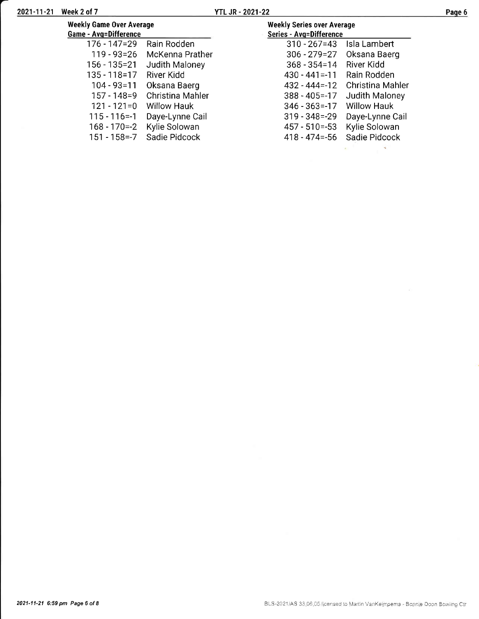| Week 2 of 7                                                     | YTL JR - 2021-22                                             |                    |
|-----------------------------------------------------------------|--------------------------------------------------------------|--------------------|
| <b>Weekly Game Over Average</b><br><b>Game - Avg=Difference</b> | <b>Weekly Series over Average</b><br>Series - Avg=Difference |                    |
| Rain Rodden<br>176 - 147=29                                     | $310 - 267 = 43$                                             | Isla Lambert       |
| 119 - 93 = 26<br>McKenna Prather                                | $306 - 279 = 27$                                             | Oksana Baerg       |
| Judith Maloney<br>156 - 135=21                                  | $368 - 354 = 14$                                             | River Kidd         |
| 135 - 118 = 17<br>River Kidd                                    | $430 - 441 = -11$                                            | Rain Rodden        |
| $104 - 93 = 11$<br>Oksana Baerg                                 | $432 - 444 = -12$                                            | Christina Mahler   |
| Christina Mahler<br>$157 - 148 = 9$                             | $388 - 405 = -17$                                            | Judith Maloney     |
| $121 - 121 = 0$<br>Willow Hauk                                  | $346 - 363 = -17$                                            | <b>Willow Hauk</b> |
| Daye-Lynne Cail<br>$115 - 116 = -1$                             | $319 - 348 = -29$                                            | Daye-Lynne Cail    |
| Kylie Solowan<br>168 - 170=-2                                   | $457 - 510 = -53$                                            | Kylie Solowan      |

198 - 170 -- 2 Nyile Solowan<br>151 - 158 -- 7 Sadie Pidcock

457 - 510=-53 - Kylle Solowan<br>418 - 474=-56 - Sadie Pidcock  $\sim$ All Corporation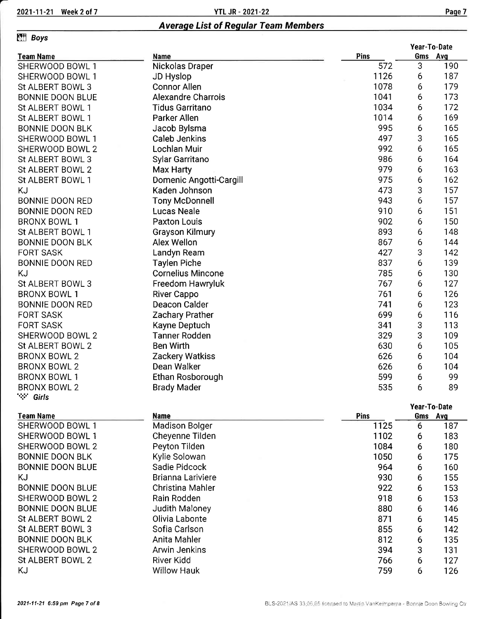### Averaqe List of Regular Team Members

# **Effi** Boys

|                         |                                       |      |         | Year-To-Date |
|-------------------------|---------------------------------------|------|---------|--------------|
| <b>Team Name</b>        | Name                                  | Pins |         | Gms Avg      |
| SHERWOOD BOWL 1         | Nickolas Draper                       | 572  | 3       | 190          |
| SHERWOOD BOWL 1         | JD Hyslop                             | 1126 | 6       | 187          |
| St ALBERT BOWL 3        | <b>Connor Allen</b>                   | 1078 | 6       | 179          |
| <b>BONNIE DOON BLUE</b> | <b>Alexandre Charrois</b>             | 1041 | 6       | 173          |
| St ALBERT BOWL 1        | <b>Tidus Garritano</b>                | 1034 | 6       | 172          |
| St ALBERT BOWL 1        | Parker Allen                          | 1014 | 6       | 169          |
| <b>BONNIE DOON BLK</b>  | Jacob Bylsma                          | 995  | 6       | 165          |
| SHERWOOD BOWL 1         | Caleb Jenkins                         | 497  | 3       | 165          |
| SHERWOOD BOWL 2         | Lochlan Muir                          | 992  | 6       | 165          |
| St ALBERT BOWL 3        | Sylar Garritano                       | 986  | 6       | 164          |
| St ALBERT BOWL 2        | Max Harty                             | 979  | 6       | 163          |
| St ALBERT BOWL 1        | Domenic Angotti-Cargill               | 975  | 6       | 162          |
| KJ                      | Kaden Johnson                         | 473  | 3       | 157          |
| <b>BONNIE DOON RED</b>  | <b>Tony McDonnell</b>                 | 943  | 6       | 157          |
| <b>BONNIE DOON RED</b>  | <b>Lucas Neale</b>                    | 910  | 6       | 151          |
| <b>BRONX BOWL 1</b>     | <b>Paxton Louis</b>                   | 902  | 6       | 150          |
| St ALBERT BOWL 1        |                                       | 893  | 6       | 148          |
| <b>BONNIE DOON BLK</b>  | <b>Grayson Kilmury</b><br>Alex Wellon |      |         |              |
|                         |                                       | 867  | 6       | 144          |
| <b>FORT SASK</b>        | Landyn Ream                           | 427  | 3       | 142          |
| <b>BONNIE DOON RED</b>  | <b>Taylen Piche</b>                   | 837  | 6       | 139          |
| KJ                      | <b>Cornelius Mincone</b>              | 785  | 6       | 130          |
| St ALBERT BOWL 3        | Freedom Hawryluk                      | 767  | 6       | 127          |
| <b>BRONX BOWL 1</b>     | <b>River Cappo</b>                    | 761  | 6       | 126          |
| BONNIE DOON RED         | Deacon Calder                         | 741  | 6       | 123          |
| <b>FORT SASK</b>        | Zachary Prather                       | 699  | 6       | 116          |
| <b>FORT SASK</b>        | Kayne Deptuch                         | 341  | 3       | 113          |
| SHERWOOD BOWL 2         | <b>Tanner Rodden</b>                  | 329  | 3       | 109          |
| St ALBERT BOWL 2        | <b>Ben Wirth</b>                      | 630  | 6       | 105          |
| <b>BRONX BOWL 2</b>     | Zackery Watkiss                       | 626  | 6       | 104          |
| <b>BRONX BOWL 2</b>     | Dean Walker                           | 626  | 6       | 104          |
| <b>BRONX BOWL 1</b>     | Ethan Rosborough                      | 599  | 6       | 99           |
| <b>BRONX BOWL 2</b>     | <b>Brady Mader</b>                    | 535  | 6       | 89           |
| <b>※ Girls</b>          |                                       |      |         |              |
|                         |                                       |      |         | Year-To-Date |
| <b>Team Name</b>        | <b>Name</b>                           | Pins | Gms Avg |              |
| SHERWOOD BOWL 1         | <b>Madison Bolger</b>                 | 1125 | 6       | 187          |
| SHERWOOD BOWL 1         | Cheyenne Tilden                       | 1102 | 6       | 183          |
| SHERWOOD BOWL 2         | Peyton Tilden                         | 1084 | 6       | 180          |
| <b>BONNIE DOON BLK</b>  | Kylie Solowan                         | 1050 | 6       | 175          |
| <b>BONNIE DOON BLUE</b> | Sadie Pidcock                         | 964  | 6       | 160          |
| ΚJ                      | <b>Brianna Lariviere</b>              | 930  | 6       | 155          |
| <b>BONNIE DOON BLUE</b> | Christina Mahler                      | 922  | 6       | 153          |
| SHERWOOD BOWL 2         | Rain Rodden                           | 918  | 6       | 153          |
| <b>BONNIE DOON BLUE</b> | Judith Maloney                        | 880  | 6       | 146          |
| St ALBERT BOWL 2        | Olivia Labonte                        | 871  | 6       | 145          |
| St ALBERT BOWL 3        | Sofia Carlson                         | 855  | 6       | 142          |
| <b>BONNIE DOON BLK</b>  | Anita Mahler                          | 812  | 6       | 135          |
| SHERWOOD BOWL 2         | <b>Arwin Jenkins</b>                  | 394  | 3       | 131          |
| St ALBERT BOWL 2        | River Kidd                            | 766  | 6       | 127          |
| ΚJ                      | <b>Willow Hauk</b>                    | 759  | 6       | 126          |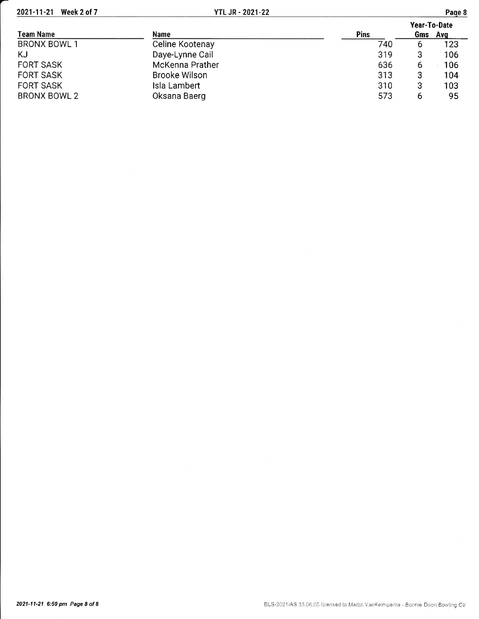| Team Name           | <b>Name</b>     | <b>Pins</b> | Year-To-Date<br>Gms Avg |     |  |
|---------------------|-----------------|-------------|-------------------------|-----|--|
| <b>BRONX BOWL 1</b> | Celine Kootenay | 740         | 6                       | 123 |  |
| KJ                  | Daye-Lynne Cail | 319         |                         | 106 |  |
| <b>FORT SASK</b>    | McKenna Prather | 636         | b                       | 106 |  |
| <b>FORT SASK</b>    | Brooke Wilson   | 313         |                         | 104 |  |
| <b>FORT SASK</b>    | Isla Lambert    | 310         |                         | 103 |  |
| <b>BRONX BOWL 2</b> | Oksana Baerg    | 573         |                         | 95  |  |